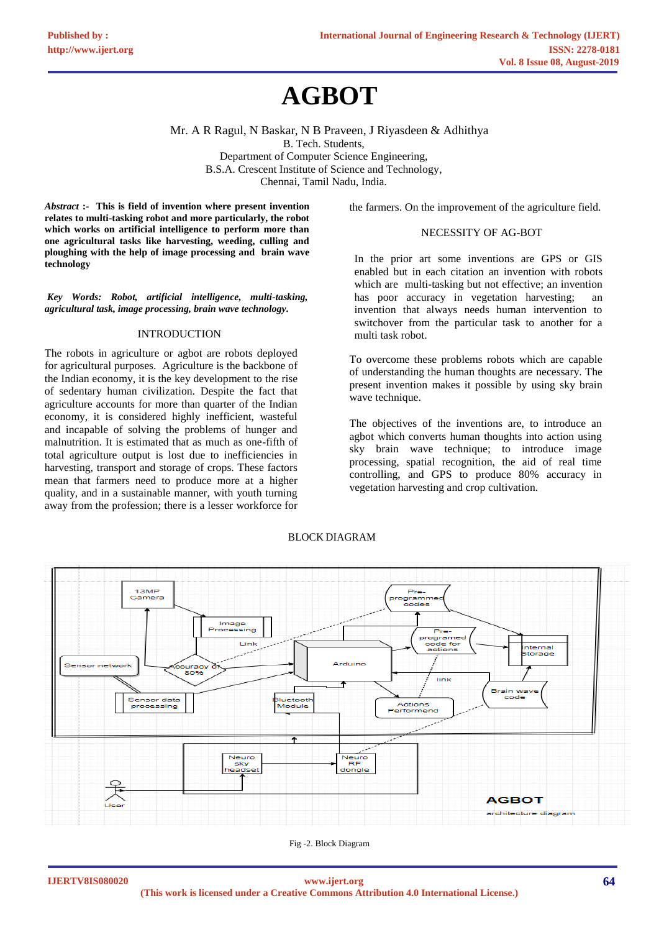# **AGBOT**

Mr. A R Ragul, N Baskar, N B Praveen, J Riyasdeen & Adhithya B. Tech. Students, Department of Computer Science Engineering, B.S.A. Crescent Institute of Science and Technology, Chennai, Tamil Nadu, India.

*Abstract* **:- This is field of invention where present invention relates to multi-tasking robot and more particularly, the robot which works on artificial intelligence to perform more than one agricultural tasks like harvesting, weeding, culling and ploughing with the help of image processing and brain wave technology**

*Key Words: Robot, artificial intelligence, multi-tasking, agricultural task, image processing, brain wave technology.*

#### INTRODUCTION

The robots in agriculture or agbot are robots deployed for agricultural purposes. Agriculture is the backbone of the Indian economy, it is the key development to the rise of sedentary human civilization. Despite the fact that agriculture accounts for more than quarter of the Indian economy, it is considered highly inefficient, wasteful and incapable of solving the problems of hunger and malnutrition. It is estimated that as much as one-fifth of total agriculture output is lost due to inefficiencies in harvesting, transport and storage of crops. These factors mean that farmers need to produce more at a higher quality, and in a sustainable manner, with youth turning away from the profession; there is a lesser workforce for the farmers. On the improvement of the agriculture field.

#### NECESSITY OF AG-BOT

In the prior art some inventions are GPS or GIS enabled but in each citation an invention with robots which are multi-tasking but not effective; an invention has poor accuracy in vegetation harvesting; an invention that always needs human intervention to switchover from the particular task to another for a multi task robot.

To overcome these problems robots which are capable of understanding the human thoughts are necessary. The present invention makes it possible by using sky brain wave technique.

The objectives of the inventions are, to introduce an agbot which converts human thoughts into action using sky brain wave technique; to introduce image processing, spatial recognition, the aid of real time controlling, and GPS to produce 80% accuracy in vegetation harvesting and crop cultivation.



BLOCK DIAGRAM

Fig -2. Block Diagram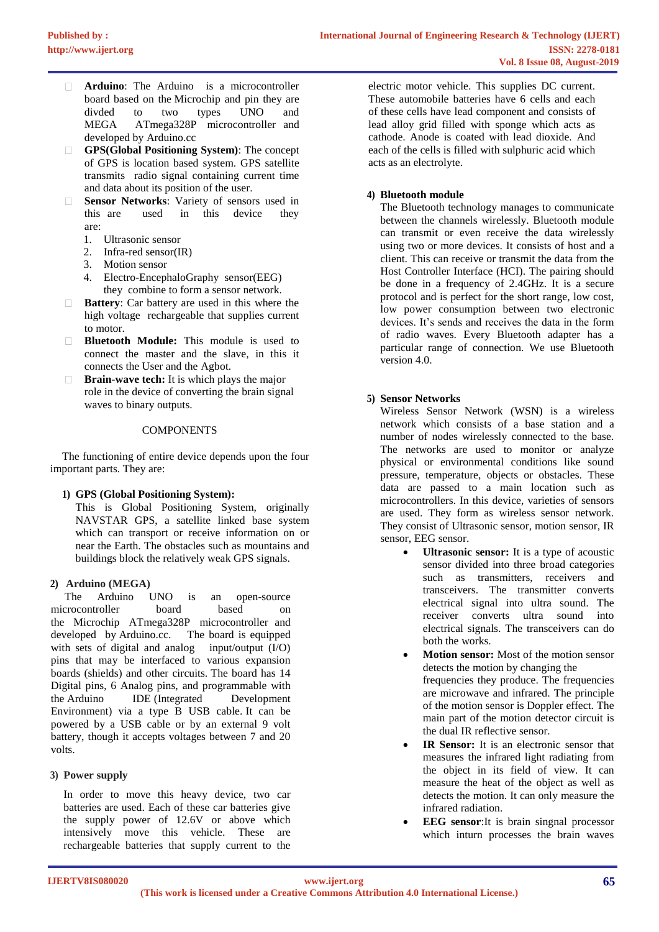- **Arduino**: The Arduino is a microcontroller board based on the Microchip and pin they are divded to two types UNO and MEGA ATmega328P microcontroller and developed by Arduino.cc
- $\Box$ **GPS(Global Positioning System)**: The concept of GPS is location based system. GPS satellite transmits radio signal containing current time and data about its position of the user.
- **Sensor Networks**: Variety of sensors used in  $\Box$ this are used in this device they are:
	- 1. Ultrasonic sensor
	- 2. Infra-red sensor(IR)
	- 3. Motion sensor
	- 4. Electro-EncephaloGraphy sensor(EEG) they combine to form a sensor network.
- **Battery:** Car battery are used in this where the high voltage rechargeable that supplies current to motor.
- **Bluetooth Module:** This module is used to  $\Box$ connect the master and the slave, in this it connects the User and the Agbot.
- **Brain-wave tech:** It is which plays the major role in the device of converting the brain signal waves to binary outputs.

# **COMPONENTS**

The functioning of entire device depends upon the four important parts. They are:

# **1) GPS (Global Positioning System):**

This is Global Positioning System, originally NAVSTAR GPS, a satellite linked base system which can transport or receive information on or near the Earth. The obstacles such as mountains and buildings block the relatively weak GPS signals.

# **2) Arduino (MEGA)**

The Arduino UNO is an open-source microcontroller board based on the Microchip ATmega328P microcontroller and<br>developed by Arduino.cc. The board is equipped developed by Arduino.cc. with sets of digital and analog input/output (I/O) pins that may be interfaced to various expansion boards (shields) and other circuits. The board has 14 Digital pins, 6 Analog pins, and programmable with the Arduino IDE (Integrated Development Environment) via a type B USB cable. It can be powered by a USB cable or by an external 9 volt battery, though it accepts voltages between 7 and 20 volts.

# **3) Power supply**

In order to move this heavy device, two car batteries are used. Each of these car batteries give the supply power of 12.6V or above which intensively move this vehicle. These are rechargeable batteries that supply current to the

electric motor vehicle. This supplies DC current. These automobile batteries have 6 cells and each of these cells have lead component and consists of lead alloy grid filled with sponge which acts as cathode. Anode is coated with lead dioxide. And each of the cells is filled with sulphuric acid which acts as an electrolyte.

# **4) Bluetooth module**

The Bluetooth technology manages to communicate between the channels wirelessly. Bluetooth module can transmit or even receive the data wirelessly using two or more devices. It consists of host and a client. This can receive or transmit the data from the Host Controller Interface (HCI). The pairing should be done in a frequency of 2.4GHz. It is a secure protocol and is perfect for the short range, low cost, low power consumption between two electronic devices. It's sends and receives the data in the form of radio waves. Every Bluetooth adapter has a particular range of connection. We use Bluetooth version 4.0.

# **5) Sensor Networks**

Wireless Sensor Network (WSN) is a wireless network which consists of a base station and a number of nodes wirelessly connected to the base. The networks are used to monitor or analyze physical or environmental conditions like sound pressure, temperature, objects or obstacles. These data are passed to a main location such as microcontrollers. In this device, varieties of sensors are used. They form as wireless sensor network. They consist of Ultrasonic sensor, motion sensor, IR sensor, EEG sensor.

- **Ultrasonic sensor:** It is a type of acoustic sensor divided into three broad categories such as transmitters, receivers and transceivers. The transmitter converts electrical signal into ultra sound. The receiver converts ultra sound into electrical signals. The transceivers can do both the works.
- **Motion sensor:** Most of the motion sensor detects the motion by changing the frequencies they produce. The frequencies are microwave and infrared. The principle of the motion sensor is Doppler effect. The main part of the motion detector circuit is the dual IR reflective sensor.
- **IR Sensor:** It is an electronic sensor that measures the infrared light radiating from the object in its field of view. It can measure the heat of the object as well as detects the motion. It can only measure the infrared radiation.
- **EEG sensor**:It is brain singnal processor which inturn processes the brain waves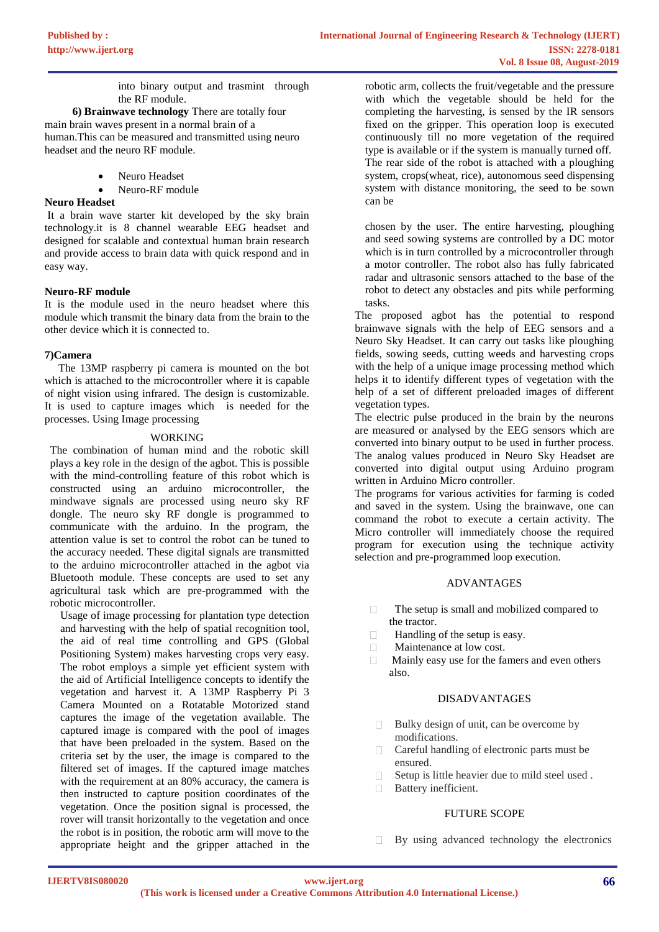into binary output and trasmint through the RF module.

 **6) Brainwave technology** There are totally four main brain waves present in a normal brain of a human.This can be measured and transmitted using neuro headset and the neuro RF module.

Neuro Headset

Neuro-RF module

# **Neuro Headset**

It a brain wave starter kit developed by the sky brain technology.it is 8 channel wearable EEG headset and designed for scalable and contextual human brain research and provide access to brain data with quick respond and in easy way.

#### **Neuro-RF module**

It is the module used in the neuro headset where this module which transmit the binary data from the brain to the other device which it is connected to.

#### **7)Camera**

 The 13MP raspberry pi camera is mounted on the bot which is attached to the microcontroller where it is capable of night vision using infrared. The design is customizable. It is used to capture images which is needed for the processes. Using Image processing

#### WORKING

The combination of human mind and the robotic skill plays a key role in the design of the agbot. This is possible with the mind-controlling feature of this robot which is constructed using an arduino microcontroller, the mindwave signals are processed using neuro sky RF dongle. The neuro sky RF dongle is programmed to communicate with the arduino. In the program, the attention value is set to control the robot can be tuned to the accuracy needed. These digital signals are transmitted to the arduino microcontroller attached in the agbot via Bluetooth module. These concepts are used to set any agricultural task which are pre-programmed with the robotic microcontroller.

Usage of image processing for plantation type detection and harvesting with the help of spatial recognition tool, the aid of real time controlling and GPS (Global Positioning System) makes harvesting crops very easy. The robot employs a simple yet efficient system with the aid of Artificial Intelligence concepts to identify the vegetation and harvest it. A 13MP Raspberry Pi 3 Camera Mounted on a Rotatable Motorized stand captures the image of the vegetation available. The captured image is compared with the pool of images that have been preloaded in the system. Based on the criteria set by the user, the image is compared to the filtered set of images. If the captured image matches with the requirement at an 80% accuracy, the camera is then instructed to capture position coordinates of the vegetation. Once the position signal is processed, the rover will transit horizontally to the vegetation and once the robot is in position, the robotic arm will move to the appropriate height and the gripper attached in the robotic arm, collects the fruit/vegetable and the pressure with which the vegetable should be held for the completing the harvesting, is sensed by the IR sensors fixed on the gripper. This operation loop is executed continuously till no more vegetation of the required type is available or if the system is manually turned off. The rear side of the robot is attached with a ploughing system, crops(wheat, rice), autonomous seed dispensing system with distance monitoring, the seed to be sown can be

chosen by the user. The entire harvesting, ploughing and seed sowing systems are controlled by a DC motor which is in turn controlled by a microcontroller through a motor controller. The robot also has fully fabricated radar and ultrasonic sensors attached to the base of the robot to detect any obstacles and pits while performing tasks.

The proposed agbot has the potential to respond brainwave signals with the help of EEG sensors and a Neuro Sky Headset. It can carry out tasks like ploughing fields, sowing seeds, cutting weeds and harvesting crops with the help of a unique image processing method which helps it to identify different types of vegetation with the help of a set of different preloaded images of different vegetation types.

The electric pulse produced in the brain by the neurons are measured or analysed by the EEG sensors which are converted into binary output to be used in further process. The analog values produced in Neuro Sky Headset are converted into digital output using Arduino program written in Arduino Micro controller.

The programs for various activities for farming is coded and saved in the system. Using the brainwave, one can command the robot to execute a certain activity. The Micro controller will immediately choose the required program for execution using the technique activity selection and pre-programmed loop execution.

#### ADVANTAGES

- $\Box$  The setup is small and mobilized compared to the tractor.
- Handling of the setup is easy.  $\Box$
- Maintenance at low cost.  $\Box$
- $\Box$ Mainly easy use for the famers and even others also.

# DISADVANTAGES

- Bulky design of unit, can be overcome by modifications.
- Careful handling of electronic parts must be  $\Box$ ensured.
- $\Box$ Setup is little heavier due to mild steel used . Battery inefficient.

# FUTURE SCOPE

By using advanced technology the electronics

 $\Box$